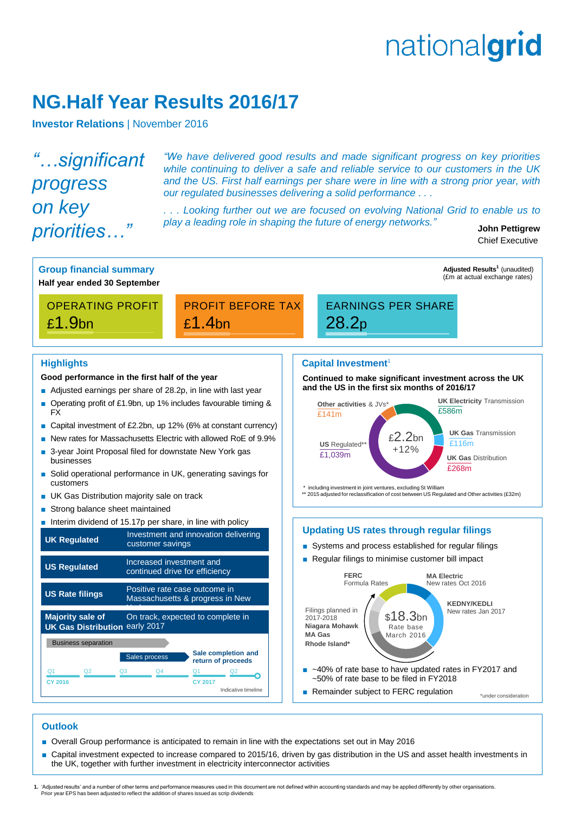# nationalgrid

# **NG.Half Year Results 2016/17**

**Investor Relations | November 2016** 

*"…significant progress on key priorities…"*

*"We have delivered good results and made significant progress on key priorities while continuing to deliver a safe and reliable service to our customers in the UK and the US. First half earnings per share were in line with a strong prior year, with our regulated businesses delivering a solid performance . . .*

*. . . Looking further out we are focused on evolving National Grid to enable us to play a leading role in shaping the future of energy networks."*

**John Pettigrew** Chief Executive



## **Outlook**

- Overall Group performance is anticipated to remain in line with the expectations set out in May 2016
- Capital investment expected to increase compared to 2015/16, driven by gas distribution in the US and asset health investments in the UK, together with further investment in electricity interconnector activities

1. 'Adjusted results' and a number of other terms and performance measures used in this document are not defined within accounting standards and may be applied differently by other organisations.<br>Prior year EPS has been ad